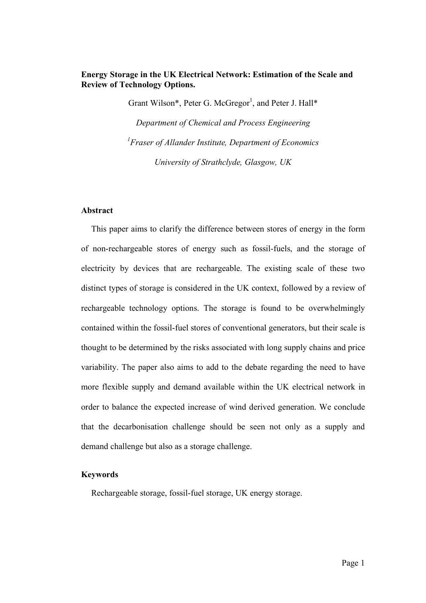## **Energy Storage in the UK Electrical Network: Estimation of the Scale and Review of Technology Options.**

Grant Wilson\*, Peter G. McGregor<sup>1</sup>, and Peter J. Hall\* *Department of Chemical and Process Engineering*

*1 Fraser of Allander Institute, Department of Economics*

*University of Strathclyde, Glasgow, UK*

## **Abstract**

This paper aims to clarify the difference between stores of energy in the form of non-rechargeable stores of energy such as fossil-fuels, and the storage of electricity by devices that are rechargeable. The existing scale of these two distinct types of storage is considered in the UK context, followed by a review of rechargeable technology options. The storage is found to be overwhelmingly contained within the fossil-fuel stores of conventional generators, but their scale is thought to be determined by the risks associated with long supply chains and price variability. The paper also aims to add to the debate regarding the need to have more flexible supply and demand available within the UK electrical network in order to balance the expected increase of wind derived generation. We conclude that the decarbonisation challenge should be seen not only as a supply and demand challenge but also as a storage challenge.

## **Keywords**

Rechargeable storage, fossil-fuel storage, UK energy storage.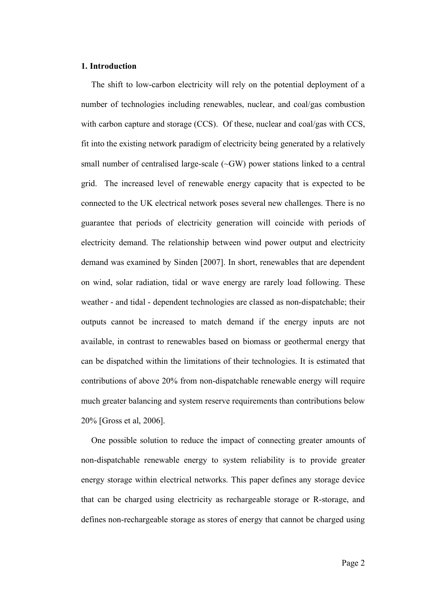#### **1. Introduction**

The shift to low-carbon electricity will rely on the potential deployment of a number of technologies including renewables, nuclear, and coal/gas combustion with carbon capture and storage (CCS). Of these, nuclear and coal/gas with CCS, fit into the existing network paradigm of electricity being generated by a relatively small number of centralised large-scale (~GW) power stations linked to a central grid. The increased level of renewable energy capacity that is expected to be connected to the UK electrical network poses several new challenges. There is no guarantee that periods of electricity generation will coincide with periods of electricity demand. The relationship between wind power output and electricity demand was examined by Sinden [2007]. In short, renewables that are dependent on wind, solar radiation, tidal or wave energy are rarely load following. These weather - and tidal - dependent technologies are classed as non-dispatchable; their outputs cannot be increased to match demand if the energy inputs are not available, in contrast to renewables based on biomass or geothermal energy that can be dispatched within the limitations of their technologies. It is estimated that contributions of above 20% from non-dispatchable renewable energy will require much greater balancing and system reserve requirements than contributions below 20% [Gross et al, 2006].

One possible solution to reduce the impact of connecting greater amounts of non-dispatchable renewable energy to system reliability is to provide greater energy storage within electrical networks. This paper defines any storage device that can be charged using electricity as rechargeable storage or R-storage, and defines non-rechargeable storage as stores of energy that cannot be charged using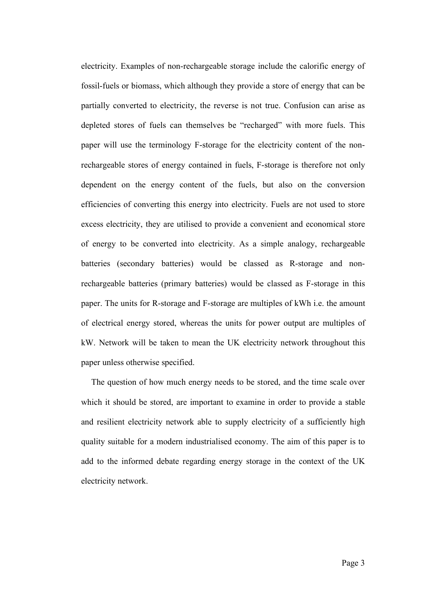electricity. Examples of non-rechargeable storage include the calorific energy of fossil-fuels or biomass, which although they provide a store of energy that can be partially converted to electricity, the reverse is not true. Confusion can arise as depleted stores of fuels can themselves be "recharged" with more fuels. This paper will use the terminology F-storage for the electricity content of the nonrechargeable stores of energy contained in fuels, F-storage is therefore not only dependent on the energy content of the fuels, but also on the conversion efficiencies of converting this energy into electricity. Fuels are not used to store excess electricity, they are utilised to provide a convenient and economical store of energy to be converted into electricity. As a simple analogy, rechargeable batteries (secondary batteries) would be classed as R-storage and nonrechargeable batteries (primary batteries) would be classed as F-storage in this paper. The units for R-storage and F-storage are multiples of kWh i.e. the amount of electrical energy stored, whereas the units for power output are multiples of kW. Network will be taken to mean the UK electricity network throughout this paper unless otherwise specified.

The question of how much energy needs to be stored, and the time scale over which it should be stored, are important to examine in order to provide a stable and resilient electricity network able to supply electricity of a sufficiently high quality suitable for a modern industrialised economy. The aim of this paper is to add to the informed debate regarding energy storage in the context of the UK electricity network.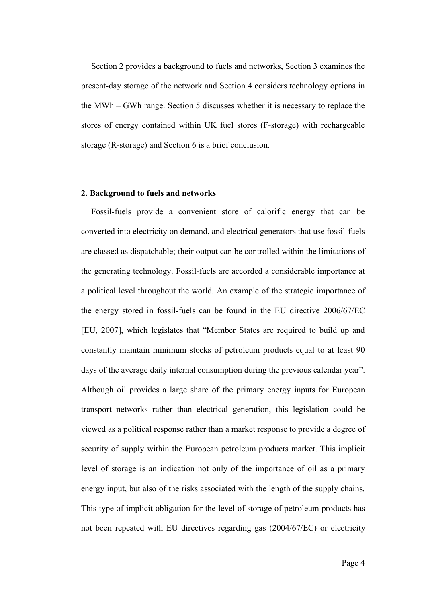Section 2 provides a background to fuels and networks, Section 3 examines the present-day storage of the network and Section 4 considers technology options in the MWh – GWh range. Section 5 discusses whether it is necessary to replace the stores of energy contained within UK fuel stores (F-storage) with rechargeable storage (R-storage) and Section 6 is a brief conclusion.

#### **2. Background to fuels and networks**

Fossil-fuels provide a convenient store of calorific energy that can be converted into electricity on demand, and electrical generators that use fossil-fuels are classed as dispatchable; their output can be controlled within the limitations of the generating technology. Fossil-fuels are accorded a considerable importance at a political level throughout the world. An example of the strategic importance of the energy stored in fossil-fuels can be found in the EU directive 2006/67/EC [EU, 2007], which legislates that "Member States are required to build up and constantly maintain minimum stocks of petroleum products equal to at least 90 days of the average daily internal consumption during the previous calendar year". Although oil provides a large share of the primary energy inputs for European transport networks rather than electrical generation, this legislation could be viewed as a political response rather than a market response to provide a degree of security of supply within the European petroleum products market. This implicit level of storage is an indication not only of the importance of oil as a primary energy input, but also of the risks associated with the length of the supply chains. This type of implicit obligation for the level of storage of petroleum products has not been repeated with EU directives regarding gas (2004/67/EC) or electricity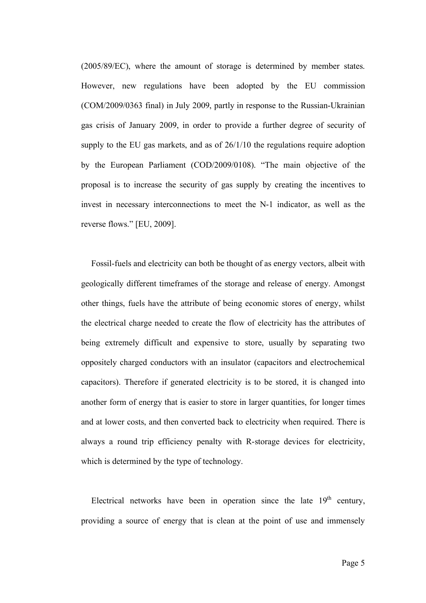(2005/89/EC), where the amount of storage is determined by member states. However, new regulations have been adopted by the EU commission (COM/2009/0363 final) in July 2009, partly in response to the Russian-Ukrainian gas crisis of January 2009, in order to provide a further degree of security of supply to the EU gas markets, and as of 26/1/10 the regulations require adoption by the European Parliament (COD/2009/0108). "The main objective of the proposal is to increase the security of gas supply by creating the incentives to invest in necessary interconnections to meet the N-1 indicator, as well as the reverse flows." [EU, 2009].

Fossil-fuels and electricity can both be thought of as energy vectors, albeit with geologically different timeframes of the storage and release of energy. Amongst other things, fuels have the attribute of being economic stores of energy, whilst the electrical charge needed to create the flow of electricity has the attributes of being extremely difficult and expensive to store, usually by separating two oppositely charged conductors with an insulator (capacitors and electrochemical capacitors). Therefore if generated electricity is to be stored, it is changed into another form of energy that is easier to store in larger quantities, for longer times and at lower costs, and then converted back to electricity when required. There is always a round trip efficiency penalty with R-storage devices for electricity, which is determined by the type of technology.

Electrical networks have been in operation since the late  $19<sup>th</sup>$  century, providing a source of energy that is clean at the point of use and immensely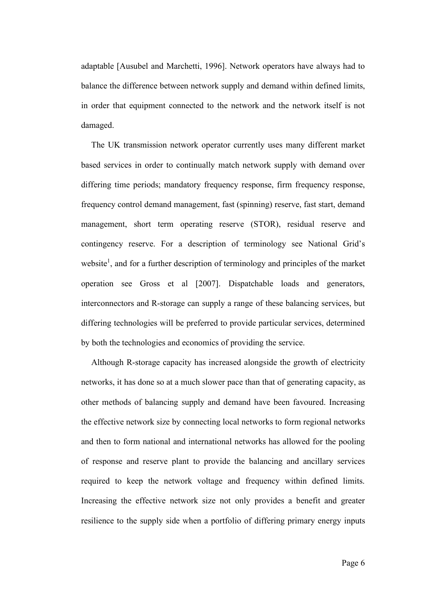adaptable [Ausubel and Marchetti, 1996]. Network operators have always had to balance the difference between network supply and demand within defined limits, in order that equipment connected to the network and the network itself is not damaged.

The UK transmission network operator currently uses many different market based services in order to continually match network supply with demand over differing time periods; mandatory frequency response, firm frequency response, frequency control demand management, fast (spinning) reserve, fast start, demand management, short term operating reserve (STOR), residual reserve and contingency reserve. For a description of terminology see National Grid's website<sup>1</sup>, and for a further description of terminology and principles of the market operation see Gross et al [2007]. Dispatchable loads and generators, interconnectors and R-storage can supply a range of these balancing services, but differing technologies will be preferred to provide particular services, determined by both the technologies and economics of providing the service.

Although R-storage capacity has increased alongside the growth of electricity networks, it has done so at a much slower pace than that of generating capacity, as other methods of balancing supply and demand have been favoured. Increasing the effective network size by connecting local networks to form regional networks and then to form national and international networks has allowed for the pooling of response and reserve plant to provide the balancing and ancillary services required to keep the network voltage and frequency within defined limits. Increasing the effective network size not only provides a benefit and greater resilience to the supply side when a portfolio of differing primary energy inputs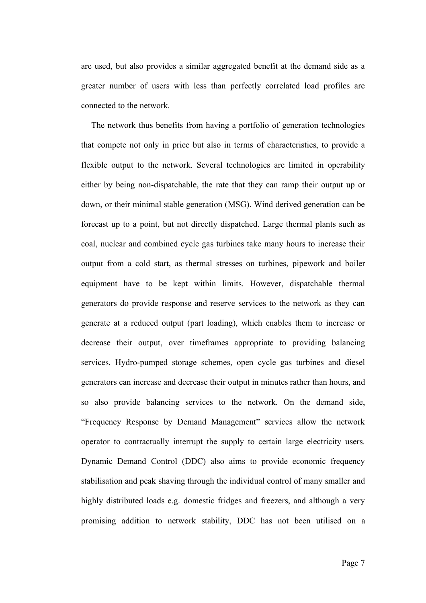are used, but also provides a similar aggregated benefit at the demand side as a greater number of users with less than perfectly correlated load profiles are connected to the network.

The network thus benefits from having a portfolio of generation technologies that compete not only in price but also in terms of characteristics, to provide a flexible output to the network. Several technologies are limited in operability either by being non-dispatchable, the rate that they can ramp their output up or down, or their minimal stable generation (MSG). Wind derived generation can be forecast up to a point, but not directly dispatched. Large thermal plants such as coal, nuclear and combined cycle gas turbines take many hours to increase their output from a cold start, as thermal stresses on turbines, pipework and boiler equipment have to be kept within limits. However, dispatchable thermal generators do provide response and reserve services to the network as they can generate at a reduced output (part loading), which enables them to increase or decrease their output, over timeframes appropriate to providing balancing services. Hydro-pumped storage schemes, open cycle gas turbines and diesel generators can increase and decrease their output in minutes rather than hours, and so also provide balancing services to the network. On the demand side, "Frequency Response by Demand Management" services allow the network operator to contractually interrupt the supply to certain large electricity users. Dynamic Demand Control (DDC) also aims to provide economic frequency stabilisation and peak shaving through the individual control of many smaller and highly distributed loads e.g. domestic fridges and freezers, and although a very promising addition to network stability, DDC has not been utilised on a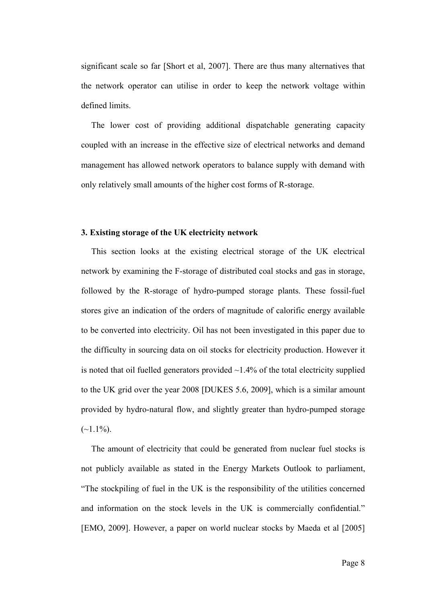significant scale so far [Short et al, 2007]. There are thus many alternatives that the network operator can utilise in order to keep the network voltage within defined limits.

The lower cost of providing additional dispatchable generating capacity coupled with an increase in the effective size of electrical networks and demand management has allowed network operators to balance supply with demand with only relatively small amounts of the higher cost forms of R-storage.

## **3. Existing storage of the UK electricity network**

This section looks at the existing electrical storage of the UK electrical network by examining the F-storage of distributed coal stocks and gas in storage, followed by the R-storage of hydro-pumped storage plants. These fossil-fuel stores give an indication of the orders of magnitude of calorific energy available to be converted into electricity. Oil has not been investigated in this paper due to the difficulty in sourcing data on oil stocks for electricity production. However it is noted that oil fuelled generators provided  $\sim$ 1.4% of the total electricity supplied to the UK grid over the year 2008 [DUKES 5.6, 2009], which is a similar amount provided by hydro-natural flow, and slightly greater than hydro-pumped storage  $(-1.1\%)$ .

The amount of electricity that could be generated from nuclear fuel stocks is not publicly available as stated in the Energy Markets Outlook to parliament, "The stockpiling of fuel in the UK is the responsibility of the utilities concerned and information on the stock levels in the UK is commercially confidential." [EMO, 2009]. However, a paper on world nuclear stocks by Maeda et al [2005]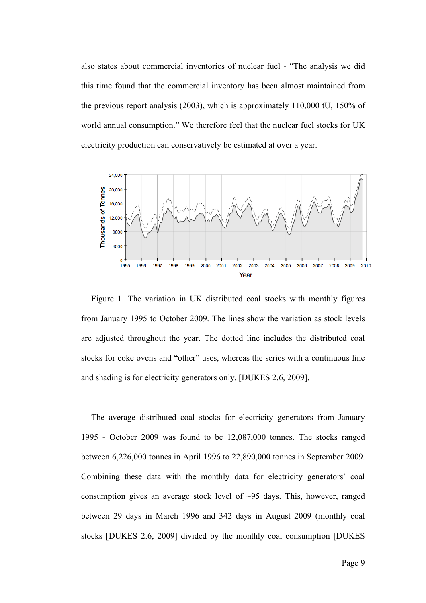also states about commercial inventories of nuclear fuel - "The analysis we did this time found that the commercial inventory has been almost maintained from the previous report analysis (2003), which is approximately 110,000 tU, 150% of world annual consumption." We therefore feel that the nuclear fuel stocks for UK electricity production can conservatively be estimated at over a year.



Figure 1. The variation in UK distributed coal stocks with monthly figures from January 1995 to October 2009. The lines show the variation as stock levels are adjusted throughout the year. The dotted line includes the distributed coal stocks for coke ovens and "other" uses, whereas the series with a continuous line and shading is for electricity generators only. [DUKES 2.6, 2009].

The average distributed coal stocks for electricity generators from January 1995 - October 2009 was found to be 12,087,000 tonnes. The stocks ranged between 6,226,000 tonnes in April 1996 to 22,890,000 tonnes in September 2009. Combining these data with the monthly data for electricity generators' coal consumption gives an average stock level of ~95 days. This, however, ranged between 29 days in March 1996 and 342 days in August 2009 (monthly coal stocks [DUKES 2.6, 2009] divided by the monthly coal consumption [DUKES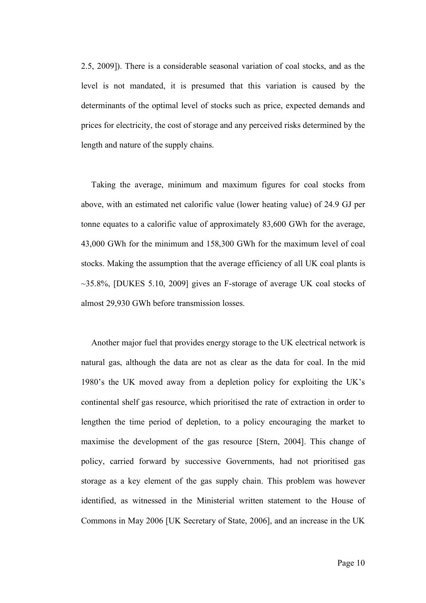2.5, 2009]). There is a considerable seasonal variation of coal stocks, and as the level is not mandated, it is presumed that this variation is caused by the determinants of the optimal level of stocks such as price, expected demands and prices for electricity, the cost of storage and any perceived risks determined by the length and nature of the supply chains.

Taking the average, minimum and maximum figures for coal stocks from above, with an estimated net calorific value (lower heating value) of 24.9 GJ per tonne equates to a calorific value of approximately 83,600 GWh for the average, 43,000 GWh for the minimum and 158,300 GWh for the maximum level of coal stocks. Making the assumption that the average efficiency of all UK coal plants is  $\sim$ 35.8%, [DUKES 5.10, 2009] gives an F-storage of average UK coal stocks of almost 29,930 GWh before transmission losses.

Another major fuel that provides energy storage to the UK electrical network is natural gas, although the data are not as clear as the data for coal. In the mid 1980's the UK moved away from a depletion policy for exploiting the UK's continental shelf gas resource, which prioritised the rate of extraction in order to lengthen the time period of depletion, to a policy encouraging the market to maximise the development of the gas resource [Stern, 2004]. This change of policy, carried forward by successive Governments, had not prioritised gas storage as a key element of the gas supply chain. This problem was however identified, as witnessed in the Ministerial written statement to the House of Commons in May 2006 [UK Secretary of State, 2006], and an increase in the UK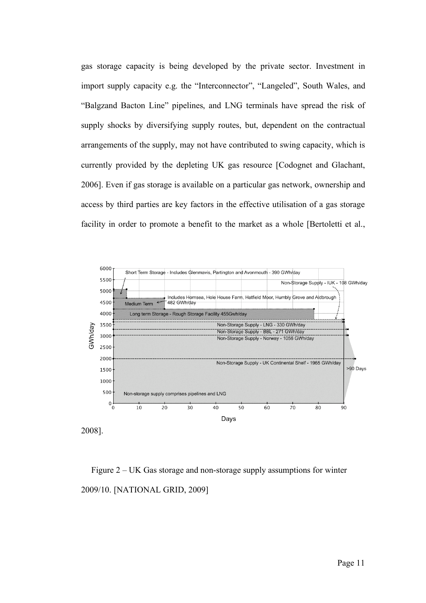gas storage capacity is being developed by the private sector. Investment in import supply capacity e.g. the "Interconnector", "Langeled", South Wales, and "Balgzand Bacton Line" pipelines, and LNG terminals have spread the risk of supply shocks by diversifying supply routes, but, dependent on the contractual arrangements of the supply, may not have contributed to swing capacity, which is currently provided by the depleting UK gas resource [Codognet and Glachant, 2006]. Even if gas storage is available on a particular gas network, ownership and access by third parties are key factors in the effective utilisation of a gas storage facility in order to promote a benefit to the market as a whole [Bertoletti et al.,



2008].

Figure 2 – UK Gas storage and non-storage supply assumptions for winter 2009/10. [NATIONAL GRID, 2009]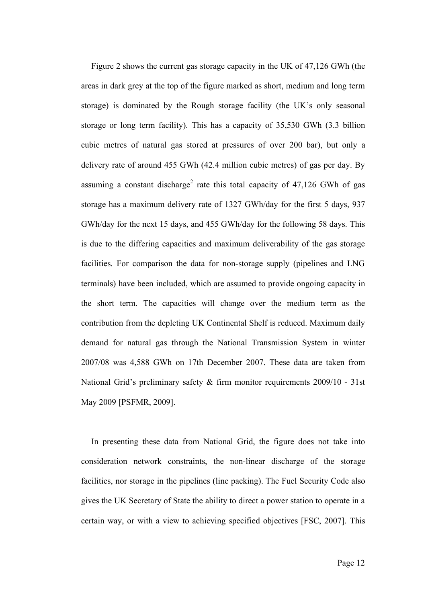Figure 2 shows the current gas storage capacity in the UK of 47,126 GWh (the areas in dark grey at the top of the figure marked as short, medium and long term storage) is dominated by the Rough storage facility (the UK's only seasonal storage or long term facility). This has a capacity of 35,530 GWh (3.3 billion cubic metres of natural gas stored at pressures of over 200 bar), but only a delivery rate of around 455 GWh (42.4 million cubic metres) of gas per day. By assuming a constant discharge<sup>2</sup> rate this total capacity of  $47,126$  GWh of gas storage has a maximum delivery rate of 1327 GWh/day for the first 5 days, 937 GWh/day for the next 15 days, and 455 GWh/day for the following 58 days. This is due to the differing capacities and maximum deliverability of the gas storage facilities. For comparison the data for non-storage supply (pipelines and LNG terminals) have been included, which are assumed to provide ongoing capacity in the short term. The capacities will change over the medium term as the contribution from the depleting UK Continental Shelf is reduced. Maximum daily demand for natural gas through the National Transmission System in winter 2007/08 was 4,588 GWh on 17th December 2007. These data are taken from National Grid's preliminary safety & firm monitor requirements 2009/10 - 31st May 2009 [PSFMR, 2009].

In presenting these data from National Grid, the figure does not take into consideration network constraints, the non-linear discharge of the storage facilities, nor storage in the pipelines (line packing). The Fuel Security Code also gives the UK Secretary of State the ability to direct a power station to operate in a certain way, or with a view to achieving specified objectives [FSC, 2007]. This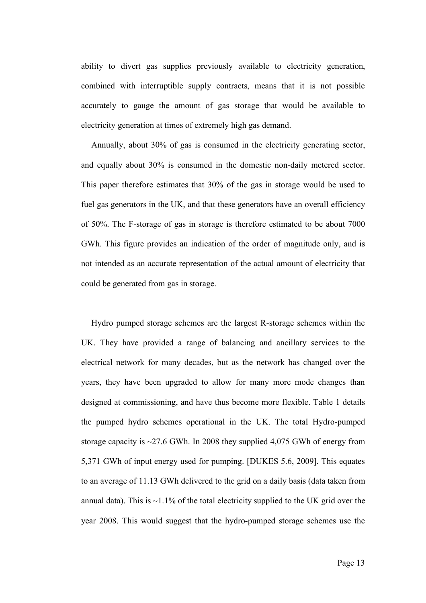ability to divert gas supplies previously available to electricity generation, combined with interruptible supply contracts, means that it is not possible accurately to gauge the amount of gas storage that would be available to electricity generation at times of extremely high gas demand.

Annually, about 30% of gas is consumed in the electricity generating sector, and equally about 30% is consumed in the domestic non-daily metered sector. This paper therefore estimates that 30% of the gas in storage would be used to fuel gas generators in the UK, and that these generators have an overall efficiency of 50%. The F-storage of gas in storage is therefore estimated to be about 7000 GWh. This figure provides an indication of the order of magnitude only, and is not intended as an accurate representation of the actual amount of electricity that could be generated from gas in storage.

Hydro pumped storage schemes are the largest R-storage schemes within the UK. They have provided a range of balancing and ancillary services to the electrical network for many decades, but as the network has changed over the years, they have been upgraded to allow for many more mode changes than designed at commissioning, and have thus become more flexible. Table 1 details the pumped hydro schemes operational in the UK. The total Hydro-pumped storage capacity is ~27.6 GWh. In 2008 they supplied 4,075 GWh of energy from 5,371 GWh of input energy used for pumping. [DUKES 5.6, 2009]. This equates to an average of 11.13 GWh delivered to the grid on a daily basis (data taken from annual data). This is  $\sim$ 1.1% of the total electricity supplied to the UK grid over the year 2008. This would suggest that the hydro-pumped storage schemes use the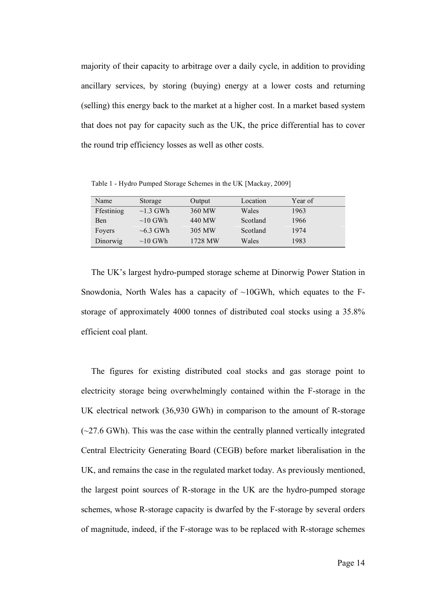majority of their capacity to arbitrage over a daily cycle, in addition to providing ancillary services, by storing (buying) energy at a lower costs and returning (selling) this energy back to the market at a higher cost. In a market based system that does not pay for capacity such as the UK, the price differential has to cover the round trip efficiency losses as well as other costs.

Table 1 - Hydro Pumped Storage Schemes in the UK [Mackay, 2009]

| Name       | Storage        | Output  | Location | Year of |
|------------|----------------|---------|----------|---------|
| Ffestiniog | $\sim$ 1.3 GWh | 360 MW  | Wales    | 1963    |
| Ben        | $\sim$ 10 GWh  | 440 MW  | Scotland | 1966    |
| Foyers     | $\sim 6.3$ GWh | 305 MW  | Scotland | 1974    |
| Dinorwig   | $\sim$ 10 GWh  | 1728 MW | Wales    | 1983    |

The UK's largest hydro-pumped storage scheme at Dinorwig Power Station in Snowdonia, North Wales has a capacity of  $\sim$ 10GWh, which equates to the Fstorage of approximately 4000 tonnes of distributed coal stocks using a 35.8% efficient coal plant.

The figures for existing distributed coal stocks and gas storage point to electricity storage being overwhelmingly contained within the F-storage in the UK electrical network (36,930 GWh) in comparison to the amount of R-storage  $(\sim$ 27.6 GWh). This was the case within the centrally planned vertically integrated Central Electricity Generating Board (CEGB) before market liberalisation in the UK, and remains the case in the regulated market today. As previously mentioned, the largest point sources of R-storage in the UK are the hydro-pumped storage schemes, whose R-storage capacity is dwarfed by the F-storage by several orders of magnitude, indeed, if the F-storage was to be replaced with R-storage schemes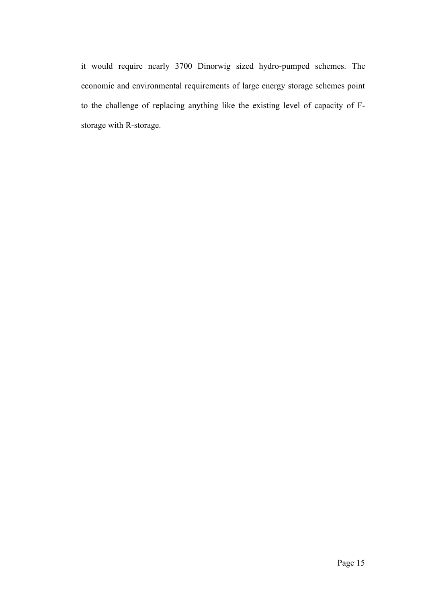it would require nearly 3700 Dinorwig sized hydro-pumped schemes. The economic and environmental requirements of large energy storage schemes point to the challenge of replacing anything like the existing level of capacity of Fstorage with R-storage.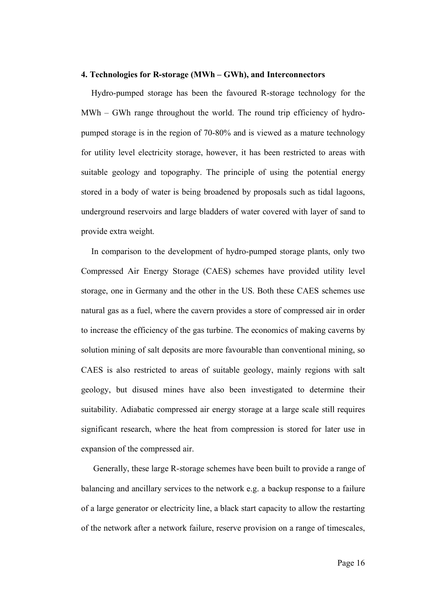#### **4. Technologies for R-storage (MWh – GWh), and Interconnectors**

Hydro-pumped storage has been the favoured R-storage technology for the MWh – GWh range throughout the world. The round trip efficiency of hydropumped storage is in the region of 70-80% and is viewed as a mature technology for utility level electricity storage, however, it has been restricted to areas with suitable geology and topography. The principle of using the potential energy stored in a body of water is being broadened by proposals such as tidal lagoons, underground reservoirs and large bladders of water covered with layer of sand to provide extra weight.

In comparison to the development of hydro-pumped storage plants, only two Compressed Air Energy Storage (CAES) schemes have provided utility level storage, one in Germany and the other in the US. Both these CAES schemes use natural gas as a fuel, where the cavern provides a store of compressed air in order to increase the efficiency of the gas turbine. The economics of making caverns by solution mining of salt deposits are more favourable than conventional mining, so CAES is also restricted to areas of suitable geology, mainly regions with salt geology, but disused mines have also been investigated to determine their suitability. Adiabatic compressed air energy storage at a large scale still requires significant research, where the heat from compression is stored for later use in expansion of the compressed air.

Generally, these large R-storage schemes have been built to provide a range of balancing and ancillary services to the network e.g. a backup response to a failure of a large generator or electricity line, a black start capacity to allow the restarting of the network after a network failure, reserve provision on a range of timescales,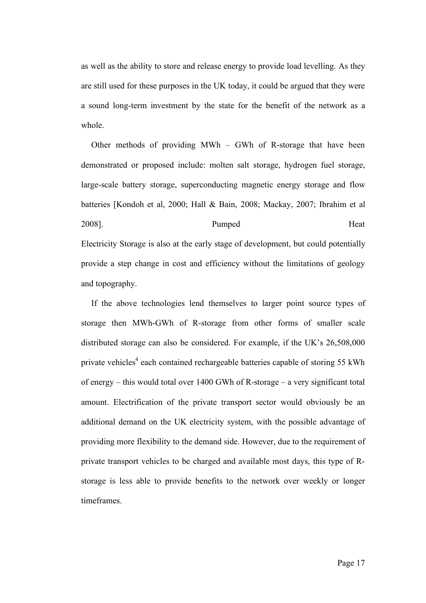as well as the ability to store and release energy to provide load levelling. As they are still used for these purposes in the UK today, it could be argued that they were a sound long-term investment by the state for the benefit of the network as a whole.

Other methods of providing MWh – GWh of R-storage that have been demonstrated or proposed include: molten salt storage, hydrogen fuel storage, large-scale battery storage, superconducting magnetic energy storage and flow batteries [Kondoh et al, 2000; Hall & Bain, 2008; Mackay, 2007; Ibrahim et al 2008]. Pumped Heat Electricity Storage is also at the early stage of development, but could potentially provide a step change in cost and efficiency without the limitations of geology and topography.

If the above technologies lend themselves to larger point source types of storage then MWh-GWh of R-storage from other forms of smaller scale distributed storage can also be considered. For example, if the UK's 26,508,000 private vehicles<sup>4</sup> each contained rechargeable batteries capable of storing 55 kWh of energy – this would total over 1400 GWh of R-storage – a very significant total amount. Electrification of the private transport sector would obviously be an additional demand on the UK electricity system, with the possible advantage of providing more flexibility to the demand side. However, due to the requirement of private transport vehicles to be charged and available most days, this type of Rstorage is less able to provide benefits to the network over weekly or longer timeframes.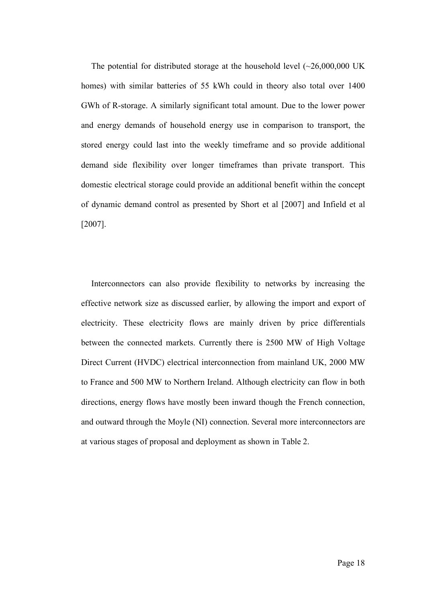The potential for distributed storage at the household level  $(\sim 26,000,000 \text{ UK})$ homes) with similar batteries of 55 kWh could in theory also total over 1400 GWh of R-storage. A similarly significant total amount. Due to the lower power and energy demands of household energy use in comparison to transport, the stored energy could last into the weekly timeframe and so provide additional demand side flexibility over longer timeframes than private transport. This domestic electrical storage could provide an additional benefit within the concept of dynamic demand control as presented by Short et al [2007] and Infield et al [2007].

Interconnectors can also provide flexibility to networks by increasing the effective network size as discussed earlier, by allowing the import and export of electricity. These electricity flows are mainly driven by price differentials between the connected markets. Currently there is 2500 MW of High Voltage Direct Current (HVDC) electrical interconnection from mainland UK, 2000 MW to France and 500 MW to Northern Ireland. Although electricity can flow in both directions, energy flows have mostly been inward though the French connection, and outward through the Moyle (NI) connection. Several more interconnectors are at various stages of proposal and deployment as shown in Table 2.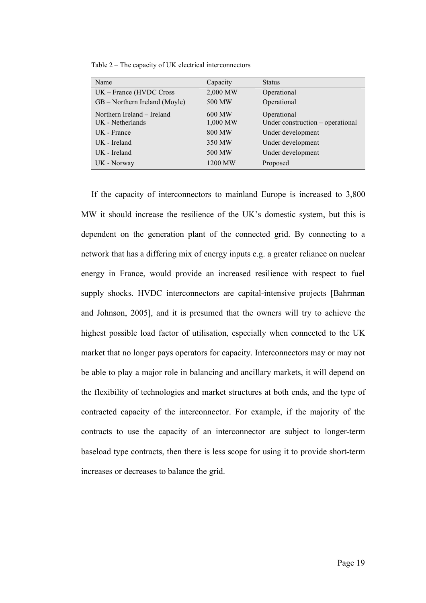| Table 2 – The capacity of UK electrical interconnectors |  |
|---------------------------------------------------------|--|
|---------------------------------------------------------|--|

| Name                          | Capacity | <b>Status</b>                    |
|-------------------------------|----------|----------------------------------|
| UK - France (HVDC Cross       | 2,000 MW | Operational                      |
| GB – Northern Ireland (Moyle) | 500 MW   | Operational                      |
| Northern Ireland - Ireland    | 600 MW   | Operational                      |
| UK - Netherlands              | 1,000 MW | Under construction – operational |
| UK - France                   | 800 MW   | Under development                |
| UK - Ireland                  | 350 MW   | Under development                |
| UK - Ireland                  | 500 MW   | Under development                |
| UK - Norway                   | 1200 MW  | Proposed                         |

If the capacity of interconnectors to mainland Europe is increased to 3,800 MW it should increase the resilience of the UK's domestic system, but this is dependent on the generation plant of the connected grid. By connecting to a network that has a differing mix of energy inputs e.g. a greater reliance on nuclear energy in France, would provide an increased resilience with respect to fuel supply shocks. HVDC interconnectors are capital-intensive projects [Bahrman and Johnson, 2005], and it is presumed that the owners will try to achieve the highest possible load factor of utilisation, especially when connected to the UK market that no longer pays operators for capacity. Interconnectors may or may not be able to play a major role in balancing and ancillary markets, it will depend on the flexibility of technologies and market structures at both ends, and the type of contracted capacity of the interconnector. For example, if the majority of the contracts to use the capacity of an interconnector are subject to longer-term baseload type contracts, then there is less scope for using it to provide short-term increases or decreases to balance the grid.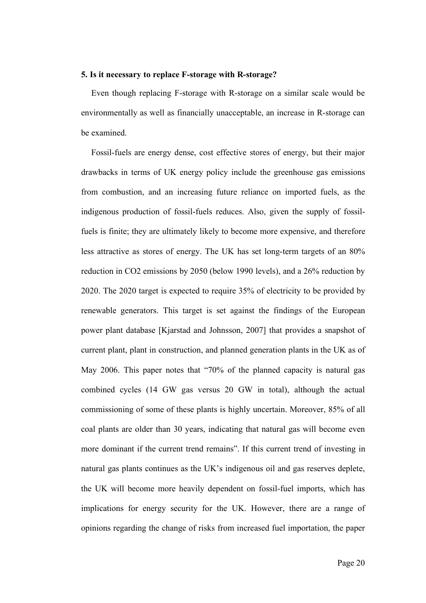## **5. Is it necessary to replace F-storage with R-storage?**

Even though replacing F-storage with R-storage on a similar scale would be environmentally as well as financially unacceptable, an increase in R-storage can be examined.

Fossil-fuels are energy dense, cost effective stores of energy, but their major drawbacks in terms of UK energy policy include the greenhouse gas emissions from combustion, and an increasing future reliance on imported fuels, as the indigenous production of fossil-fuels reduces. Also, given the supply of fossilfuels is finite; they are ultimately likely to become more expensive, and therefore less attractive as stores of energy. The UK has set long-term targets of an 80% reduction in CO2 emissions by 2050 (below 1990 levels), and a 26% reduction by 2020. The 2020 target is expected to require 35% of electricity to be provided by renewable generators. This target is set against the findings of the European power plant database [Kjarstad and Johnsson, 2007] that provides a snapshot of current plant, plant in construction, and planned generation plants in the UK as of May 2006. This paper notes that "70% of the planned capacity is natural gas combined cycles (14 GW gas versus 20 GW in total), although the actual commissioning of some of these plants is highly uncertain. Moreover, 85% of all coal plants are older than 30 years, indicating that natural gas will become even more dominant if the current trend remains". If this current trend of investing in natural gas plants continues as the UK's indigenous oil and gas reserves deplete, the UK will become more heavily dependent on fossil-fuel imports, which has implications for energy security for the UK. However, there are a range of opinions regarding the change of risks from increased fuel importation, the paper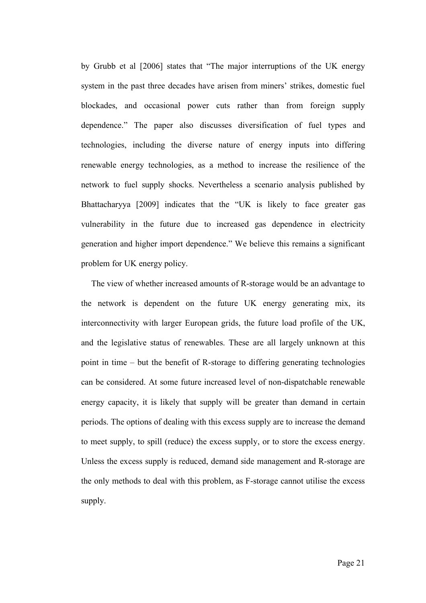by Grubb et al [2006] states that "The major interruptions of the UK energy system in the past three decades have arisen from miners' strikes, domestic fuel blockades, and occasional power cuts rather than from foreign supply dependence." The paper also discusses diversification of fuel types and technologies, including the diverse nature of energy inputs into differing renewable energy technologies, as a method to increase the resilience of the network to fuel supply shocks. Nevertheless a scenario analysis published by Bhattacharyya [2009] indicates that the "UK is likely to face greater gas vulnerability in the future due to increased gas dependence in electricity generation and higher import dependence." We believe this remains a significant problem for UK energy policy.

The view of whether increased amounts of R-storage would be an advantage to the network is dependent on the future UK energy generating mix, its interconnectivity with larger European grids, the future load profile of the UK, and the legislative status of renewables. These are all largely unknown at this point in time – but the benefit of R-storage to differing generating technologies can be considered. At some future increased level of non-dispatchable renewable energy capacity, it is likely that supply will be greater than demand in certain periods. The options of dealing with this excess supply are to increase the demand to meet supply, to spill (reduce) the excess supply, or to store the excess energy. Unless the excess supply is reduced, demand side management and R-storage are the only methods to deal with this problem, as F-storage cannot utilise the excess supply.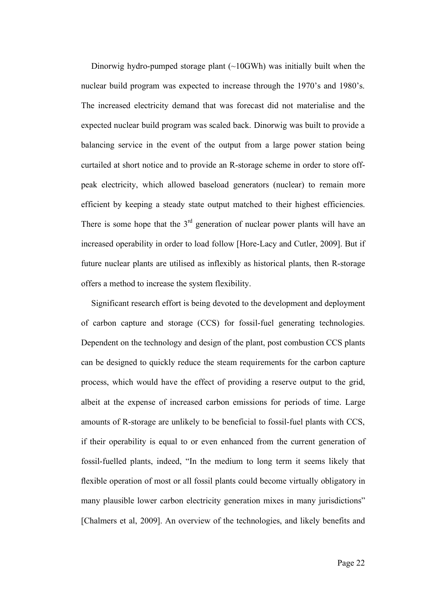Dinorwig hydro-pumped storage plant (~10GWh) was initially built when the nuclear build program was expected to increase through the 1970's and 1980's. The increased electricity demand that was forecast did not materialise and the expected nuclear build program was scaled back. Dinorwig was built to provide a balancing service in the event of the output from a large power station being curtailed at short notice and to provide an R-storage scheme in order to store offpeak electricity, which allowed baseload generators (nuclear) to remain more efficient by keeping a steady state output matched to their highest efficiencies. There is some hope that the  $3<sup>rd</sup>$  generation of nuclear power plants will have an increased operability in order to load follow [Hore-Lacy and Cutler, 2009]. But if future nuclear plants are utilised as inflexibly as historical plants, then R-storage offers a method to increase the system flexibility.

Significant research effort is being devoted to the development and deployment of carbon capture and storage (CCS) for fossil-fuel generating technologies. Dependent on the technology and design of the plant, post combustion CCS plants can be designed to quickly reduce the steam requirements for the carbon capture process, which would have the effect of providing a reserve output to the grid, albeit at the expense of increased carbon emissions for periods of time. Large amounts of R-storage are unlikely to be beneficial to fossil-fuel plants with CCS, if their operability is equal to or even enhanced from the current generation of fossil-fuelled plants, indeed, "In the medium to long term it seems likely that flexible operation of most or all fossil plants could become virtually obligatory in many plausible lower carbon electricity generation mixes in many jurisdictions" [Chalmers et al, 2009]. An overview of the technologies, and likely benefits and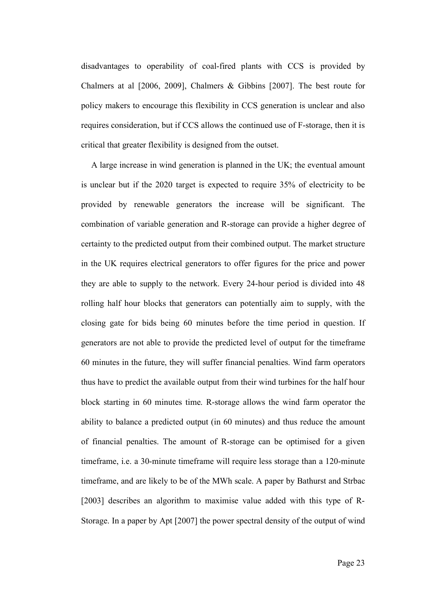disadvantages to operability of coal-fired plants with CCS is provided by Chalmers at al [2006, 2009], Chalmers & Gibbins [2007]. The best route for policy makers to encourage this flexibility in CCS generation is unclear and also requires consideration, but if CCS allows the continued use of F-storage, then it is critical that greater flexibility is designed from the outset.

A large increase in wind generation is planned in the UK; the eventual amount is unclear but if the 2020 target is expected to require 35% of electricity to be provided by renewable generators the increase will be significant. The combination of variable generation and R-storage can provide a higher degree of certainty to the predicted output from their combined output. The market structure in the UK requires electrical generators to offer figures for the price and power they are able to supply to the network. Every 24-hour period is divided into 48 rolling half hour blocks that generators can potentially aim to supply, with the closing gate for bids being 60 minutes before the time period in question. If generators are not able to provide the predicted level of output for the timeframe 60 minutes in the future, they will suffer financial penalties. Wind farm operators thus have to predict the available output from their wind turbines for the half hour block starting in 60 minutes time. R-storage allows the wind farm operator the ability to balance a predicted output (in 60 minutes) and thus reduce the amount of financial penalties. The amount of R-storage can be optimised for a given timeframe, i.e. a 30-minute timeframe will require less storage than a 120-minute timeframe, and are likely to be of the MWh scale. A paper by Bathurst and Strbac [2003] describes an algorithm to maximise value added with this type of R-Storage. In a paper by Apt [2007] the power spectral density of the output of wind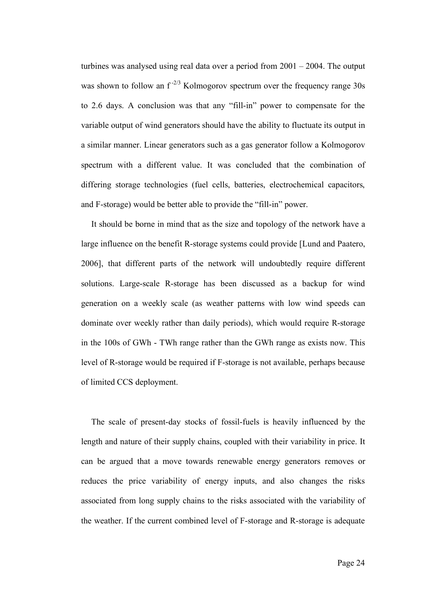turbines was analysed using real data over a period from 2001 – 2004. The output was shown to follow an  $f^{-2/3}$  Kolmogorov spectrum over the frequency range 30s to 2.6 days. A conclusion was that any "fill-in" power to compensate for the variable output of wind generators should have the ability to fluctuate its output in a similar manner. Linear generators such as a gas generator follow a Kolmogorov spectrum with a different value. It was concluded that the combination of differing storage technologies (fuel cells, batteries, electrochemical capacitors, and F-storage) would be better able to provide the "fill-in" power.

It should be borne in mind that as the size and topology of the network have a large influence on the benefit R-storage systems could provide [Lund and Paatero, 2006], that different parts of the network will undoubtedly require different solutions. Large-scale R-storage has been discussed as a backup for wind generation on a weekly scale (as weather patterns with low wind speeds can dominate over weekly rather than daily periods), which would require R-storage in the 100s of GWh - TWh range rather than the GWh range as exists now. This level of R-storage would be required if F-storage is not available, perhaps because of limited CCS deployment.

The scale of present-day stocks of fossil-fuels is heavily influenced by the length and nature of their supply chains, coupled with their variability in price. It can be argued that a move towards renewable energy generators removes or reduces the price variability of energy inputs, and also changes the risks associated from long supply chains to the risks associated with the variability of the weather. If the current combined level of F-storage and R-storage is adequate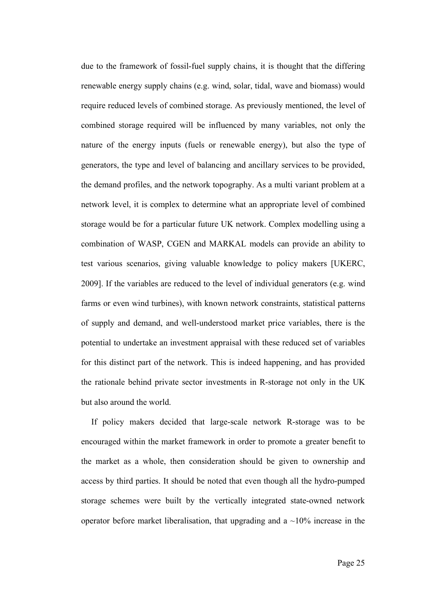due to the framework of fossil-fuel supply chains, it is thought that the differing renewable energy supply chains (e.g. wind, solar, tidal, wave and biomass) would require reduced levels of combined storage. As previously mentioned, the level of combined storage required will be influenced by many variables, not only the nature of the energy inputs (fuels or renewable energy), but also the type of generators, the type and level of balancing and ancillary services to be provided, the demand profiles, and the network topography. As a multi variant problem at a network level, it is complex to determine what an appropriate level of combined storage would be for a particular future UK network. Complex modelling using a combination of WASP, CGEN and MARKAL models can provide an ability to test various scenarios, giving valuable knowledge to policy makers [UKERC, 2009]. If the variables are reduced to the level of individual generators (e.g. wind farms or even wind turbines), with known network constraints, statistical patterns of supply and demand, and well-understood market price variables, there is the potential to undertake an investment appraisal with these reduced set of variables for this distinct part of the network. This is indeed happening, and has provided the rationale behind private sector investments in R-storage not only in the UK but also around the world.

If policy makers decided that large-scale network R-storage was to be encouraged within the market framework in order to promote a greater benefit to the market as a whole, then consideration should be given to ownership and access by third parties. It should be noted that even though all the hydro-pumped storage schemes were built by the vertically integrated state-owned network operator before market liberalisation, that upgrading and a  $\sim$ 10% increase in the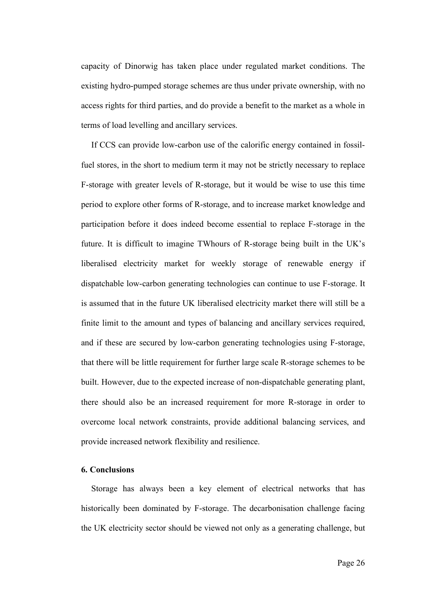capacity of Dinorwig has taken place under regulated market conditions. The existing hydro-pumped storage schemes are thus under private ownership, with no access rights for third parties, and do provide a benefit to the market as a whole in terms of load levelling and ancillary services.

If CCS can provide low-carbon use of the calorific energy contained in fossilfuel stores, in the short to medium term it may not be strictly necessary to replace F-storage with greater levels of R-storage, but it would be wise to use this time period to explore other forms of R-storage, and to increase market knowledge and participation before it does indeed become essential to replace F-storage in the future. It is difficult to imagine TWhours of R-storage being built in the UK's liberalised electricity market for weekly storage of renewable energy if dispatchable low-carbon generating technologies can continue to use F-storage. It is assumed that in the future UK liberalised electricity market there will still be a finite limit to the amount and types of balancing and ancillary services required, and if these are secured by low-carbon generating technologies using F-storage, that there will be little requirement for further large scale R-storage schemes to be built. However, due to the expected increase of non-dispatchable generating plant, there should also be an increased requirement for more R-storage in order to overcome local network constraints, provide additional balancing services, and provide increased network flexibility and resilience.

## **6. Conclusions**

Storage has always been a key element of electrical networks that has historically been dominated by F-storage. The decarbonisation challenge facing the UK electricity sector should be viewed not only as a generating challenge, but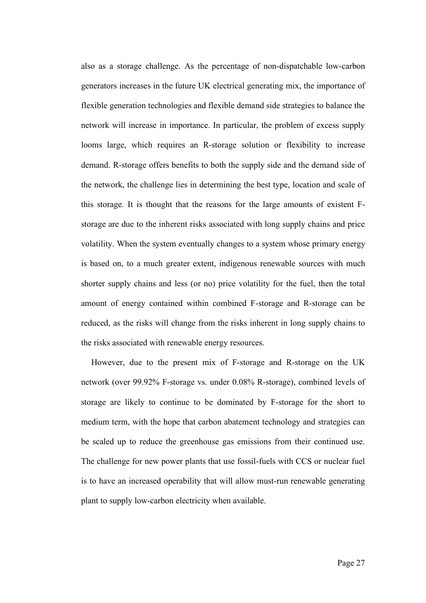also as a storage challenge. As the percentage of non-dispatchable low-carbon generators increases in the future UK electrical generating mix, the importance of flexible generation technologies and flexible demand side strategies to balance the network will increase in importance. In particular, the problem of excess supply looms large, which requires an R-storage solution or flexibility to increase demand. R-storage offers benefits to both the supply side and the demand side of the network, the challenge lies in determining the best type, location and scale of this storage. It is thought that the reasons for the large amounts of existent Fstorage are due to the inherent risks associated with long supply chains and price volatility. When the system eventually changes to a system whose primary energy is based on, to a much greater extent, indigenous renewable sources with much shorter supply chains and less (or no) price volatility for the fuel, then the total amount of energy contained within combined F-storage and R-storage can be reduced, as the risks will change from the risks inherent in long supply chains to the risks associated with renewable energy resources.

However, due to the present mix of F-storage and R-storage on the UK network (over 99.92% F-storage vs. under 0.08% R-storage), combined levels of storage are likely to continue to be dominated by F-storage for the short to medium term, with the hope that carbon abatement technology and strategies can be scaled up to reduce the greenhouse gas emissions from their continued use. The challenge for new power plants that use fossil-fuels with CCS or nuclear fuel is to have an increased operability that will allow must-run renewable generating plant to supply low-carbon electricity when available.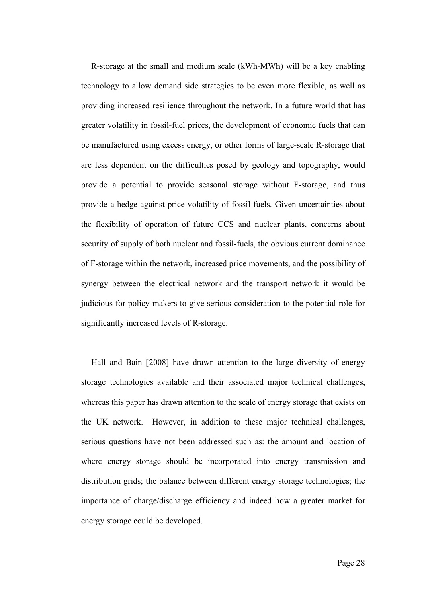R-storage at the small and medium scale (kWh-MWh) will be a key enabling technology to allow demand side strategies to be even more flexible, as well as providing increased resilience throughout the network. In a future world that has greater volatility in fossil-fuel prices, the development of economic fuels that can be manufactured using excess energy, or other forms of large-scale R-storage that are less dependent on the difficulties posed by geology and topography, would provide a potential to provide seasonal storage without F-storage, and thus provide a hedge against price volatility of fossil-fuels. Given uncertainties about the flexibility of operation of future CCS and nuclear plants, concerns about security of supply of both nuclear and fossil-fuels, the obvious current dominance of F-storage within the network, increased price movements, and the possibility of synergy between the electrical network and the transport network it would be judicious for policy makers to give serious consideration to the potential role for significantly increased levels of R-storage.

Hall and Bain [2008] have drawn attention to the large diversity of energy storage technologies available and their associated major technical challenges, whereas this paper has drawn attention to the scale of energy storage that exists on the UK network. However, in addition to these major technical challenges, serious questions have not been addressed such as: the amount and location of where energy storage should be incorporated into energy transmission and distribution grids; the balance between different energy storage technologies; the importance of charge/discharge efficiency and indeed how a greater market for energy storage could be developed.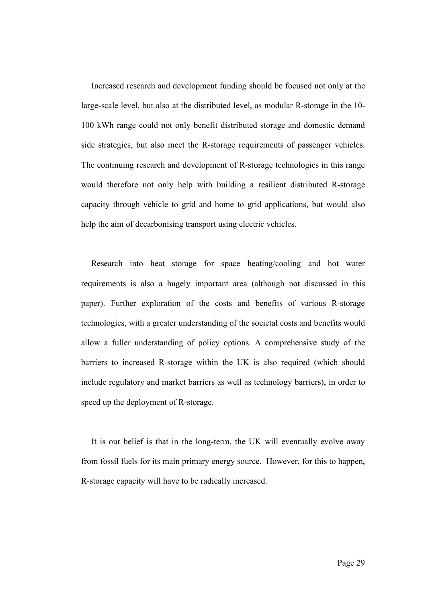Increased research and development funding should be focused not only at the large-scale level, but also at the distributed level, as modular R-storage in the 10- 100 kWh range could not only benefit distributed storage and domestic demand side strategies, but also meet the R-storage requirements of passenger vehicles. The continuing research and development of R-storage technologies in this range would therefore not only help with building a resilient distributed R-storage capacity through vehicle to grid and home to grid applications, but would also help the aim of decarbonising transport using electric vehicles.

Research into heat storage for space heating/cooling and hot water requirements is also a hugely important area (although not discussed in this paper). Further exploration of the costs and benefits of various R-storage technologies, with a greater understanding of the societal costs and benefits would allow a fuller understanding of policy options. A comprehensive study of the barriers to increased R-storage within the UK is also required (which should include regulatory and market barriers as well as technology barriers), in order to speed up the deployment of R-storage.

It is our belief is that in the long-term, the UK will eventually evolve away from fossil fuels for its main primary energy source. However, for this to happen, R-storage capacity will have to be radically increased.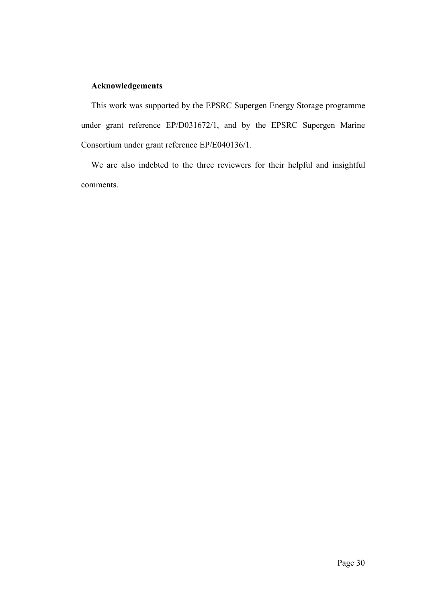# **Acknowledgements**

This work was supported by the EPSRC Supergen Energy Storage programme under grant reference EP/D031672/1, and by the EPSRC Supergen Marine Consortium under grant reference EP/E040136/1.

We are also indebted to the three reviewers for their helpful and insightful comments.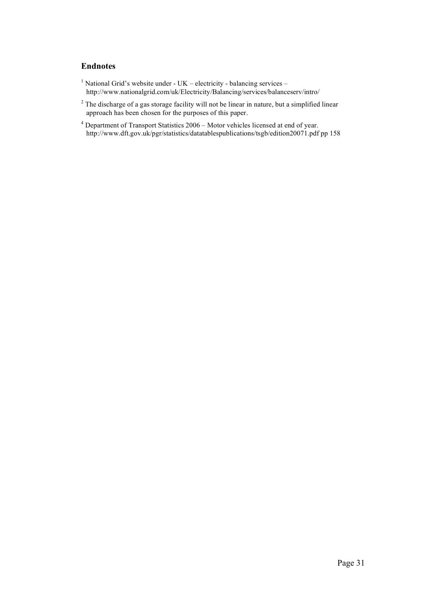## **Endnotes**

- <sup>1</sup> National Grid's website under UK electricity balancing services http://www.nationalgrid.com/uk/Electricity/Balancing/services/balanceserv/intro/
- $2^2$  The discharge of a gas storage facility will not be linear in nature, but a simplified linear approach has been chosen for the purposes of this paper.
- <sup>4</sup> Department of Transport Statistics 2006 Motor vehicles licensed at end of year. http://www.dft.gov.uk/pgr/statistics/datatablespublications/tsgb/edition20071.pdf pp 158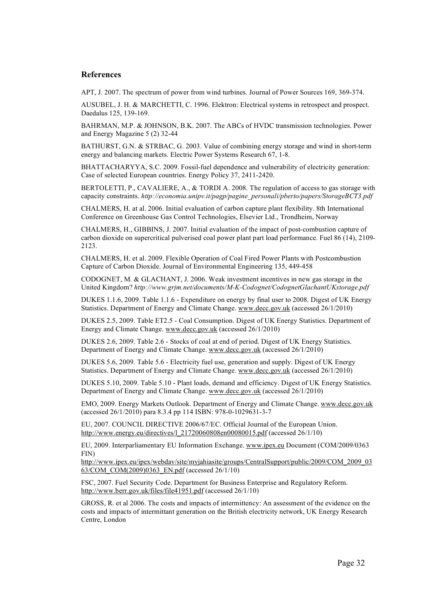#### **References**

APT, J. 2007. The spectrum of power from wind turbines. Journal of Power Sources 169, 369-374.

AUSUBEL, J. H. & MARCHETTI, C. 1996. Elektron: Electrical systems in retrospect and prospect. Daedalus 125, 139-169.

BAHRMAN, M.P. & JOHNSON, B.K. 2007. The ABCs of HVDC transmission technologies. Power and Energy Magazine 5 (2) 32-44

BATHURST, G.N. & STRBAC, G. 2003. Value of combining energy storage and wind in short-term energy and balancing markets. Electric Power Systems Research 67, 1-8.

BHATTACHARYYA, S.C. 2009. Fossil-fuel dependence and vulnerability of electricity generation: Case of selected European countries. Energy Policy 37, 2411-2420.

BERTOLETTI, P., CAVALIERE, A., & TORDI A. 2008. The regulation of access to gas storage with capacity constraints. *http://economia.unipv.it/pagp/pagine\_personali/pberto/papers/StorageBCT3.pdf*

CHALMERS, H. at al. 2006. Initial evaluation of carbon capture plant flexibility. 8th International Conference on Greenhouse Gas Control Technologies, Elsevier Ltd., Trondheim, Norway

CHALMERS, H., GIBBINS, J. 2007. Initial evaluation of the impact of post-combustion capture of carbon dioxide on supercritical pulverised coal power plant part load performance. Fuel 86 (14), 2109- 2123.

CHALMERS, H. et al. 2009. Flexible Operation of Coal Fired Power Plants with Postcombustion Capture of Carbon Dioxide. Journal of Environmental Engineering 135, 449-458

CODOGNET, M. & GLACHANT, J. 2006. Weak investment incentives in new gas storage in the United Kingdom? *http://www.grjm.net/documents/M-K-Codognet/CodognetGlachantUKstorage.pdf*

DUKES 1.1.6, 2009. Table 1.1.6 - Expenditure on energy by final user to 2008. Digest of UK Energy Statistics. Department of Energy and Climate Change. www.decc.gov.uk (accessed 26/1/2010)

DUKES 2.5, 2009. Table ET2.5 - Coal Consumption. Digest of UK Energy Statistics. Department of Energy and Climate Change. www.decc.gov.uk (accessed 26/1/2010)

DUKES 2.6, 2009. Table 2.6 - Stocks of coal at end of period. Digest of UK Energy Statistics. Department of Energy and Climate Change. www.decc.gov.uk (accessed 26/1/2010)

DUKES 5.6, 2009. Table 5.6 - Electricity fuel use, generation and supply. Digest of UK Energy Statistics. Department of Energy and Climate Change. www.decc.gov.uk (accessed 26/1/2010)

DUKES 5.10, 2009. Table 5.10 - Plant loads, demand and efficiency. Digest of UK Energy Statistics. Department of Energy and Climate Change. www.decc.gov.uk (accessed 26/1/2010)

EMO, 2009. Energy Markets Outlook. Department of Energy and Climate Change. www.decc.gov.uk (accessed 26/1/2010) para 8.3.4 pp 114 ISBN: 978-0-1029631-3-7

EU, 2007. COUNCIL DIRECTIVE 2006/67/EC. Official Journal of the European Union. http://www.energy.eu/directives/l\_21720060808en00080015.pdf (accessed 26/1/10)

EU, 2009. Interparliamentary EU Information Exchange. www.ipex.eu Document (COM/2009/0363 FIN)

http://www.ipex.eu/ipex/webdav/site/myjahiasite/groups/CentralSupport/public/2009/COM\_2009\_03 63/COM\_COM(2009)0363\_EN.pdf (accessed 26/1/10)

FSC, 2007. Fuel Security Code. Department for Business Enterprise and Regulatory Reform. http://www.berr.gov.uk/files/file41951.pdf (accessed 26/1/10)

GROSS, R. et al 2006. The costs and impacts of intermittency: An assessment of the evidence on the costs and impacts of intermittant generation on the British electricity network, UK Energy Research Centre, London